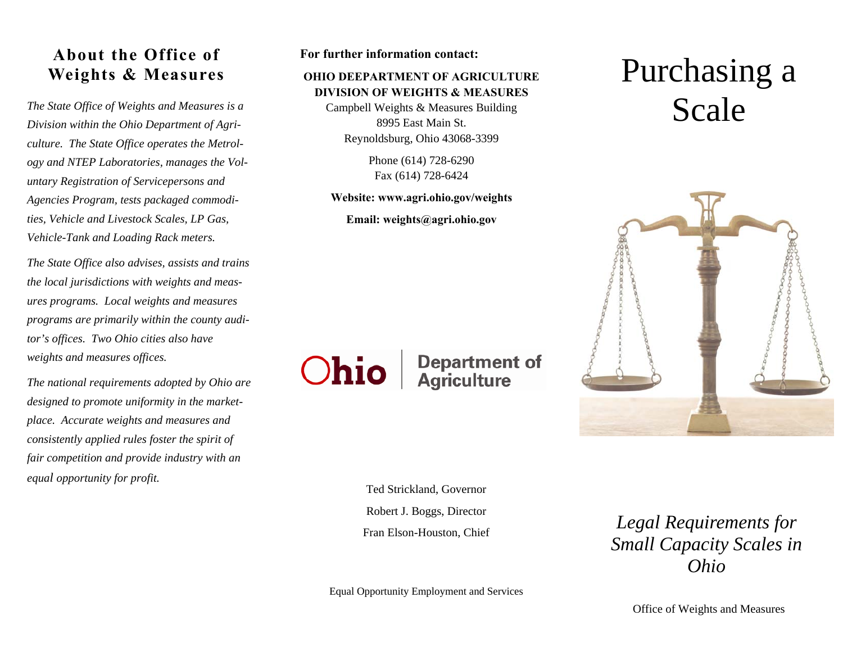## **About the Office of Weights & Measures**

The State Office of Weights and Measures is a Campbell Weights & Measures Building<br>Division within the Ohio Department of Agri-<br>
20010 *culture. The State Office operates the Metrology and NTEP Laboratories, manages the Voluntary Registration of Servicepersons and Agencies Program, tests packaged commodities, Vehicle and Livestock Scales, LP Gas, Vehicle-Tank and Loading Rack meters.* 

*The State Office also advises, assists and trains the local jurisdictions with weights and measures programs. Local weights and measures programs are primarily within the county auditor's offices. Two Ohio cities also have weights and measures offices.* 

*The national requirements adopted by Ohio are designed to promote uniformity in the marketplace. Accurate weights and measures and consistently applied rules foster the spirit of fair competition and provide industry with an equal opportunity for profit.*

#### **For further information contact:**

#### **OHIO DEEPARTMENT OF AGRICULTURE DIVISION OF WEIGHTS & MEASURES**

Campbell Weights & Measures Building 8995 East Main St. Reynoldsburg, Ohio 43068-3399

> Phone (614) 728-6290 Fax (614) 728-6424

#### **Website: www.agri.ohio.gov/weights**

**Email: weights@agri.ohio.gov** 

# Purchasing a



**Ohio** 

# **Department of<br>Agriculture**

Ted Strickland, Governor Robert J. Boggs, Director Fran Elson-Houston, Chief

*Legal Requirements for Small Capacity Scales in Ohio* 

Equal Opportunity Employment and Services

Office of Weights and Measures